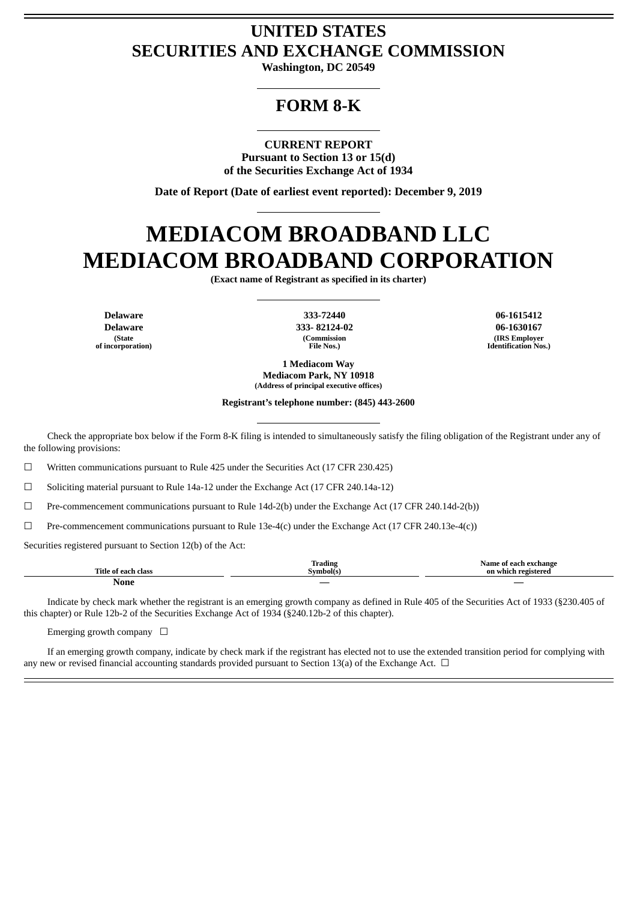# **UNITED STATES SECURITIES AND EXCHANGE COMMISSION**

**Washington, DC 20549**

## **FORM 8-K**

**CURRENT REPORT Pursuant to Section 13 or 15(d) of the Securities Exchange Act of 1934**

**Date of Report (Date of earliest event reported): December 9, 2019**

# **MEDIACOM BROADBAND LLC MEDIACOM BROADBAND CORPORATION**

**(Exact name of Registrant as specified in its charter)**

**Delaware Delaware (State of incorporation)**

**333-72440 333- 82124-02 (Commission File Nos.)**

**06-1615412 06-1630167 (IRS Employer Identification Nos.)**

**1 Mediacom Way Mediacom Park, NY 10918 (Address of principal executive offices)**

**Registrant's telephone number: (845) 443-2600**

Check the appropriate box below if the Form 8-K filing is intended to simultaneously satisfy the filing obligation of the Registrant under any of the following provisions:

☐ Written communications pursuant to Rule 425 under the Securities Act (17 CFR 230.425)

 $\Box$  Soliciting material pursuant to Rule 14a-12 under the Exchange Act (17 CFR 240.14a-12)

 $\Box$  Pre-commencement communications pursuant to Rule 14d-2(b) under the Exchange Act (17 CFR 240.14d-2(b))

☐ Pre-commencement communications pursuant to Rule 13e-4(c) under the Exchange Act (17 CFR 240.13e-4(c))

Securities registered pursuant to Section 12(b) of the Act:

| Title<br>∙ of each<br>class | $\mathbf{v}$<br>Trading<br>.svmbol( | exchange<br>Name<br>r on ok<br>ึก1<br>on |
|-----------------------------|-------------------------------------|------------------------------------------|
| None                        | $\overline{\phantom{a}}$            |                                          |

Indicate by check mark whether the registrant is an emerging growth company as defined in Rule 405 of the Securities Act of 1933 (§230.405 of this chapter) or Rule 12b-2 of the Securities Exchange Act of 1934 (§240.12b-2 of this chapter).

Emerging growth company  $\Box$ 

If an emerging growth company, indicate by check mark if the registrant has elected not to use the extended transition period for complying with any new or revised financial accounting standards provided pursuant to Section 13(a) of the Exchange Act.  $\Box$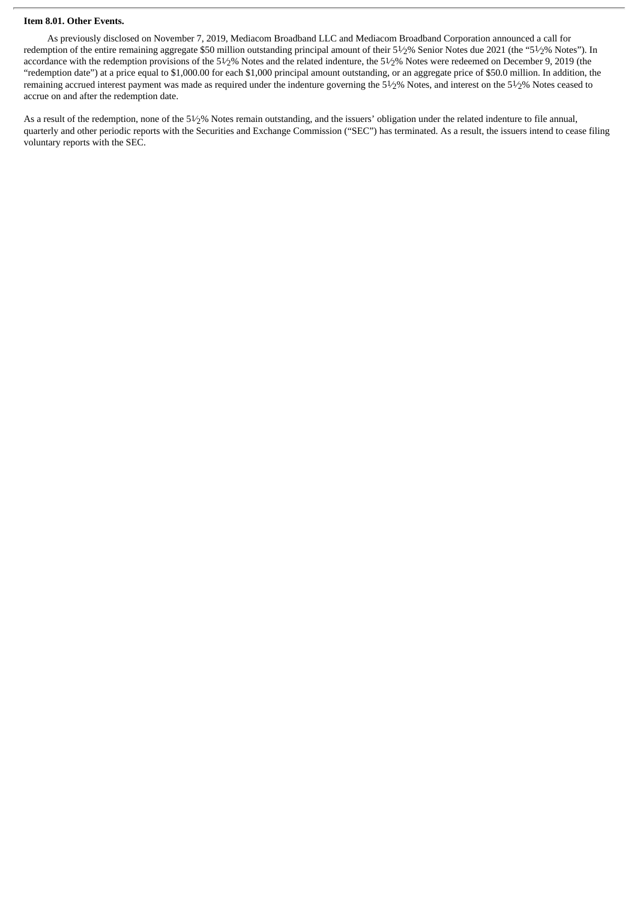#### **Item 8.01. Other Events.**

As previously disclosed on November 7, 2019, Mediacom Broadband LLC and Mediacom Broadband Corporation announced a call for redemption of the entire remaining aggregate \$50 million outstanding principal amount of their 51⁄2% Senior Notes due 2021 (the "51⁄2% Notes"). In accordance with the redemption provisions of the 51⁄2% Notes and the related indenture, the 51⁄2% Notes were redeemed on December 9, 2019 (the "redemption date") at a price equal to \$1,000.00 for each \$1,000 principal amount outstanding, or an aggregate price of \$50.0 million. In addition, the remaining accrued interest payment was made as required under the indenture governing the 51⁄2% Notes, and interest on the 51⁄2% Notes ceased to accrue on and after the redemption date.

As a result of the redemption, none of the 51⁄2% Notes remain outstanding, and the issuers' obligation under the related indenture to file annual, quarterly and other periodic reports with the Securities and Exchange Commission ("SEC") has terminated. As a result, the issuers intend to cease filing voluntary reports with the SEC.